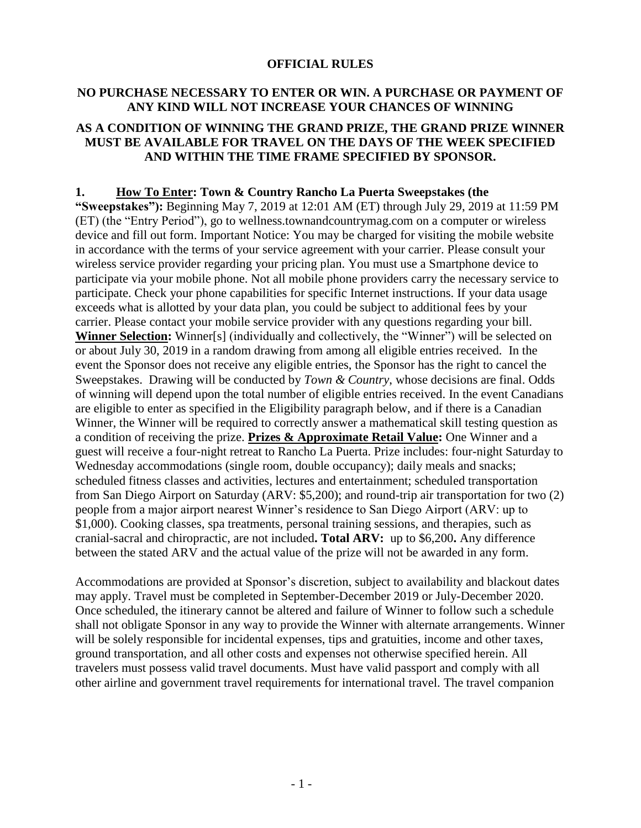### **OFFICIAL RULES**

## **NO PURCHASE NECESSARY TO ENTER OR WIN. A PURCHASE OR PAYMENT OF ANY KIND WILL NOT INCREASE YOUR CHANCES OF WINNING**

# **AS A CONDITION OF WINNING THE GRAND PRIZE, THE GRAND PRIZE WINNER MUST BE AVAILABLE FOR TRAVEL ON THE DAYS OF THE WEEK SPECIFIED AND WITHIN THE TIME FRAME SPECIFIED BY SPONSOR.**

### **1. How To Enter: Town & Country Rancho La Puerta Sweepstakes (the**

**"Sweepstakes"):** Beginning May 7, 2019 at 12:01 AM (ET) through July 29, 2019 at 11:59 PM (ET) (the "Entry Period"), go to wellness.townandcountrymag.com on a computer or wireless device and fill out form. Important Notice: You may be charged for visiting the mobile website in accordance with the terms of your service agreement with your carrier. Please consult your wireless service provider regarding your pricing plan. You must use a Smartphone device to participate via your mobile phone. Not all mobile phone providers carry the necessary service to participate. Check your phone capabilities for specific Internet instructions. If your data usage exceeds what is allotted by your data plan, you could be subject to additional fees by your carrier. Please contact your mobile service provider with any questions regarding your bill. **Winner Selection:** Winner[s] (individually and collectively, the "Winner") will be selected on or about July 30, 2019 in a random drawing from among all eligible entries received. In the event the Sponsor does not receive any eligible entries, the Sponsor has the right to cancel the Sweepstakes. Drawing will be conducted by *Town & Country*, whose decisions are final. Odds of winning will depend upon the total number of eligible entries received. In the event Canadians are eligible to enter as specified in the Eligibility paragraph below, and if there is a Canadian Winner, the Winner will be required to correctly answer a mathematical skill testing question as a condition of receiving the prize. **Prizes & Approximate Retail Value:** One Winner and a guest will receive a four-night retreat to Rancho La Puerta. Prize includes: four-night Saturday to Wednesday accommodations (single room, double occupancy); daily meals and snacks; scheduled fitness classes and activities, lectures and entertainment; scheduled transportation from San Diego Airport on Saturday (ARV: \$5,200); and round-trip air transportation for two (2) people from a major airport nearest Winner's residence to San Diego Airport (ARV: up to \$1,000). Cooking classes, spa treatments, personal training sessions, and therapies, such as cranial-sacral and chiropractic, are not included**. Total ARV:** up to \$6,200**.** Any difference between the stated ARV and the actual value of the prize will not be awarded in any form.

Accommodations are provided at Sponsor's discretion, subject to availability and blackout dates may apply. Travel must be completed in September-December 2019 or July-December 2020. Once scheduled, the itinerary cannot be altered and failure of Winner to follow such a schedule shall not obligate Sponsor in any way to provide the Winner with alternate arrangements. Winner will be solely responsible for incidental expenses, tips and gratuities, income and other taxes, ground transportation, and all other costs and expenses not otherwise specified herein. All travelers must possess valid travel documents. Must have valid passport and comply with all other airline and government travel requirements for international travel. The travel companion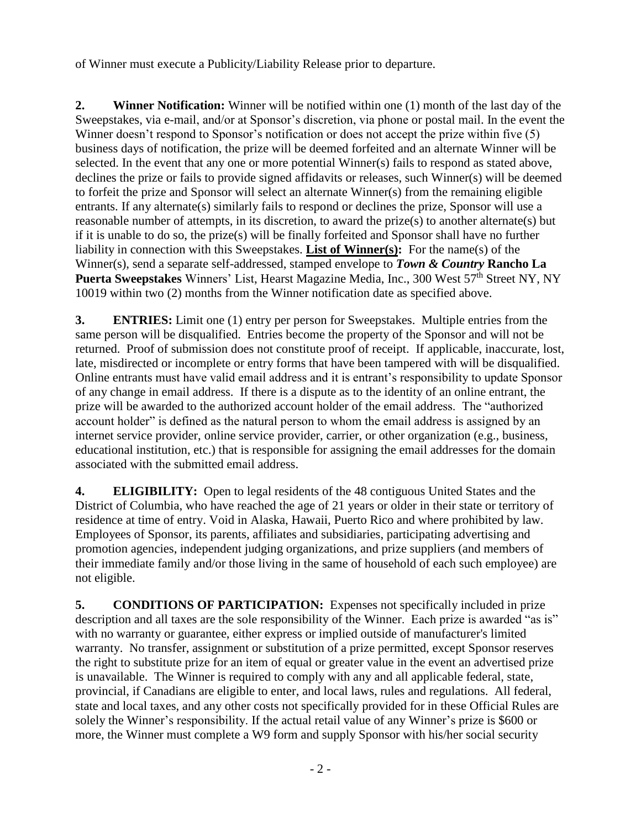of Winner must execute a Publicity/Liability Release prior to departure.

**2. Winner Notification:** Winner will be notified within one (1) month of the last day of the Sweepstakes, via e-mail, and/or at Sponsor's discretion, via phone or postal mail. In the event the Winner doesn't respond to Sponsor's notification or does not accept the prize within five (5) business days of notification, the prize will be deemed forfeited and an alternate Winner will be selected. In the event that any one or more potential Winner(s) fails to respond as stated above, declines the prize or fails to provide signed affidavits or releases, such Winner(s) will be deemed to forfeit the prize and Sponsor will select an alternate Winner(s) from the remaining eligible entrants. If any alternate(s) similarly fails to respond or declines the prize, Sponsor will use a reasonable number of attempts, in its discretion, to award the prize(s) to another alternate(s) but if it is unable to do so, the prize(s) will be finally forfeited and Sponsor shall have no further liability in connection with this Sweepstakes. **List of Winner(s):** For the name(s) of the Winner(s), send a separate self-addressed, stamped envelope to *Town & Country* **Rancho La Puerta Sweepstakes** Winners' List, Hearst Magazine Media, Inc., 300 West 57<sup>th</sup> Street NY, NY 10019 within two (2) months from the Winner notification date as specified above.

**3. ENTRIES:** Limit one (1) entry per person for Sweepstakes. Multiple entries from the same person will be disqualified. Entries become the property of the Sponsor and will not be returned. Proof of submission does not constitute proof of receipt. If applicable, inaccurate, lost, late, misdirected or incomplete or entry forms that have been tampered with will be disqualified. Online entrants must have valid email address and it is entrant's responsibility to update Sponsor of any change in email address. If there is a dispute as to the identity of an online entrant, the prize will be awarded to the authorized account holder of the email address. The "authorized account holder" is defined as the natural person to whom the email address is assigned by an internet service provider, online service provider, carrier, or other organization (e.g., business, educational institution, etc.) that is responsible for assigning the email addresses for the domain associated with the submitted email address.

**4. ELIGIBILITY:** Open to legal residents of the 48 contiguous United States and the District of Columbia, who have reached the age of 21 years or older in their state or territory of residence at time of entry. Void in Alaska, Hawaii, Puerto Rico and where prohibited by law. Employees of Sponsor, its parents, affiliates and subsidiaries, participating advertising and promotion agencies, independent judging organizations, and prize suppliers (and members of their immediate family and/or those living in the same of household of each such employee) are not eligible.

**5. CONDITIONS OF PARTICIPATION:** Expenses not specifically included in prize description and all taxes are the sole responsibility of the Winner. Each prize is awarded "as is" with no warranty or guarantee, either express or implied outside of manufacturer's limited warranty. No transfer, assignment or substitution of a prize permitted, except Sponsor reserves the right to substitute prize for an item of equal or greater value in the event an advertised prize is unavailable. The Winner is required to comply with any and all applicable federal, state, provincial, if Canadians are eligible to enter, and local laws, rules and regulations. All federal, state and local taxes, and any other costs not specifically provided for in these Official Rules are solely the Winner's responsibility. If the actual retail value of any Winner's prize is \$600 or more, the Winner must complete a W9 form and supply Sponsor with his/her social security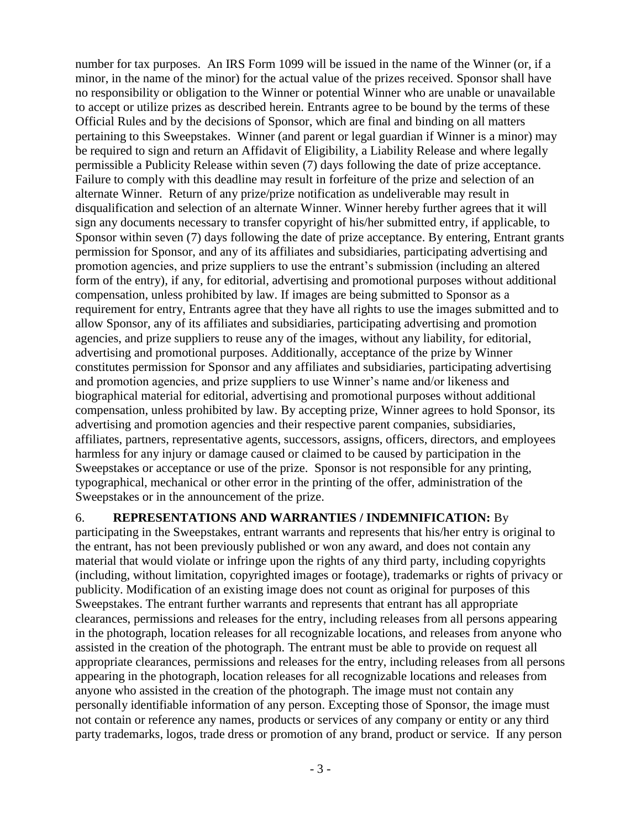number for tax purposes. An IRS Form 1099 will be issued in the name of the Winner (or, if a minor, in the name of the minor) for the actual value of the prizes received. Sponsor shall have no responsibility or obligation to the Winner or potential Winner who are unable or unavailable to accept or utilize prizes as described herein. Entrants agree to be bound by the terms of these Official Rules and by the decisions of Sponsor, which are final and binding on all matters pertaining to this Sweepstakes. Winner (and parent or legal guardian if Winner is a minor) may be required to sign and return an Affidavit of Eligibility, a Liability Release and where legally permissible a Publicity Release within seven (7) days following the date of prize acceptance. Failure to comply with this deadline may result in forfeiture of the prize and selection of an alternate Winner. Return of any prize/prize notification as undeliverable may result in disqualification and selection of an alternate Winner. Winner hereby further agrees that it will sign any documents necessary to transfer copyright of his/her submitted entry, if applicable, to Sponsor within seven (7) days following the date of prize acceptance. By entering, Entrant grants permission for Sponsor, and any of its affiliates and subsidiaries, participating advertising and promotion agencies, and prize suppliers to use the entrant's submission (including an altered form of the entry), if any, for editorial, advertising and promotional purposes without additional compensation, unless prohibited by law. If images are being submitted to Sponsor as a requirement for entry, Entrants agree that they have all rights to use the images submitted and to allow Sponsor, any of its affiliates and subsidiaries, participating advertising and promotion agencies, and prize suppliers to reuse any of the images, without any liability, for editorial, advertising and promotional purposes. Additionally, acceptance of the prize by Winner constitutes permission for Sponsor and any affiliates and subsidiaries, participating advertising and promotion agencies, and prize suppliers to use Winner's name and/or likeness and biographical material for editorial, advertising and promotional purposes without additional compensation, unless prohibited by law. By accepting prize, Winner agrees to hold Sponsor, its advertising and promotion agencies and their respective parent companies, subsidiaries, affiliates, partners, representative agents, successors, assigns, officers, directors, and employees harmless for any injury or damage caused or claimed to be caused by participation in the Sweepstakes or acceptance or use of the prize. Sponsor is not responsible for any printing, typographical, mechanical or other error in the printing of the offer, administration of the Sweepstakes or in the announcement of the prize.

## 6. **REPRESENTATIONS AND WARRANTIES / INDEMNIFICATION:** By

participating in the Sweepstakes, entrant warrants and represents that his/her entry is original to the entrant, has not been previously published or won any award, and does not contain any material that would violate or infringe upon the rights of any third party, including copyrights (including, without limitation, copyrighted images or footage), trademarks or rights of privacy or publicity. Modification of an existing image does not count as original for purposes of this Sweepstakes. The entrant further warrants and represents that entrant has all appropriate clearances, permissions and releases for the entry, including releases from all persons appearing in the photograph, location releases for all recognizable locations, and releases from anyone who assisted in the creation of the photograph. The entrant must be able to provide on request all appropriate clearances, permissions and releases for the entry, including releases from all persons appearing in the photograph, location releases for all recognizable locations and releases from anyone who assisted in the creation of the photograph. The image must not contain any personally identifiable information of any person. Excepting those of Sponsor, the image must not contain or reference any names, products or services of any company or entity or any third party trademarks, logos, trade dress or promotion of any brand, product or service. If any person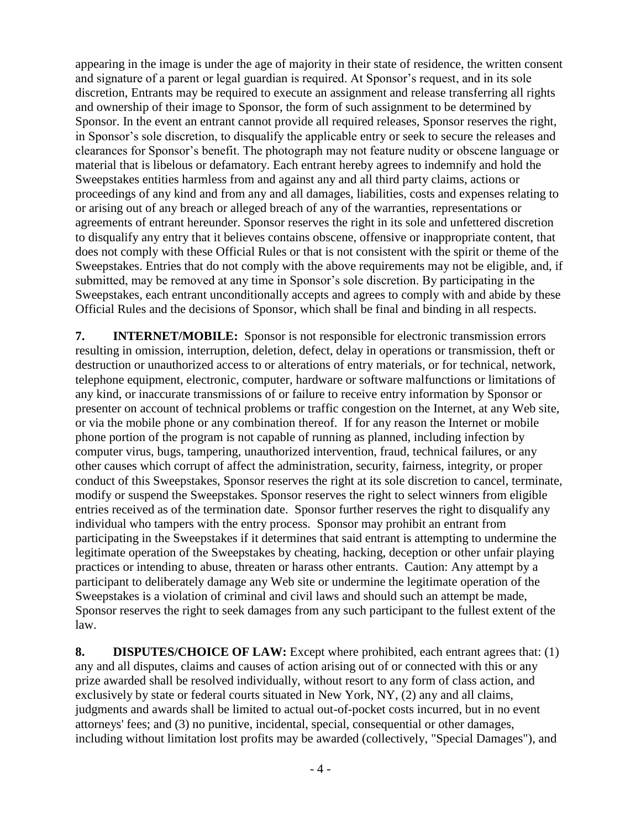appearing in the image is under the age of majority in their state of residence, the written consent and signature of a parent or legal guardian is required. At Sponsor's request, and in its sole discretion, Entrants may be required to execute an assignment and release transferring all rights and ownership of their image to Sponsor, the form of such assignment to be determined by Sponsor. In the event an entrant cannot provide all required releases, Sponsor reserves the right, in Sponsor's sole discretion, to disqualify the applicable entry or seek to secure the releases and clearances for Sponsor's benefit. The photograph may not feature nudity or obscene language or material that is libelous or defamatory. Each entrant hereby agrees to indemnify and hold the Sweepstakes entities harmless from and against any and all third party claims, actions or proceedings of any kind and from any and all damages, liabilities, costs and expenses relating to or arising out of any breach or alleged breach of any of the warranties, representations or agreements of entrant hereunder. Sponsor reserves the right in its sole and unfettered discretion to disqualify any entry that it believes contains obscene, offensive or inappropriate content, that does not comply with these Official Rules or that is not consistent with the spirit or theme of the Sweepstakes. Entries that do not comply with the above requirements may not be eligible, and, if submitted, may be removed at any time in Sponsor's sole discretion. By participating in the Sweepstakes, each entrant unconditionally accepts and agrees to comply with and abide by these Official Rules and the decisions of Sponsor, which shall be final and binding in all respects.

**7. INTERNET/MOBILE:** Sponsor is not responsible for electronic transmission errors resulting in omission, interruption, deletion, defect, delay in operations or transmission, theft or destruction or unauthorized access to or alterations of entry materials, or for technical, network, telephone equipment, electronic, computer, hardware or software malfunctions or limitations of any kind, or inaccurate transmissions of or failure to receive entry information by Sponsor or presenter on account of technical problems or traffic congestion on the Internet, at any Web site, or via the mobile phone or any combination thereof. If for any reason the Internet or mobile phone portion of the program is not capable of running as planned, including infection by computer virus, bugs, tampering, unauthorized intervention, fraud, technical failures, or any other causes which corrupt of affect the administration, security, fairness, integrity, or proper conduct of this Sweepstakes, Sponsor reserves the right at its sole discretion to cancel, terminate, modify or suspend the Sweepstakes. Sponsor reserves the right to select winners from eligible entries received as of the termination date. Sponsor further reserves the right to disqualify any individual who tampers with the entry process. Sponsor may prohibit an entrant from participating in the Sweepstakes if it determines that said entrant is attempting to undermine the legitimate operation of the Sweepstakes by cheating, hacking, deception or other unfair playing practices or intending to abuse, threaten or harass other entrants. Caution: Any attempt by a participant to deliberately damage any Web site or undermine the legitimate operation of the Sweepstakes is a violation of criminal and civil laws and should such an attempt be made, Sponsor reserves the right to seek damages from any such participant to the fullest extent of the law.

**8. DISPUTES/CHOICE OF LAW:** Except where prohibited, each entrant agrees that: (1) any and all disputes, claims and causes of action arising out of or connected with this or any prize awarded shall be resolved individually, without resort to any form of class action, and exclusively by state or federal courts situated in New York, NY, (2) any and all claims, judgments and awards shall be limited to actual out-of-pocket costs incurred, but in no event attorneys' fees; and (3) no punitive, incidental, special, consequential or other damages, including without limitation lost profits may be awarded (collectively, "Special Damages"), and